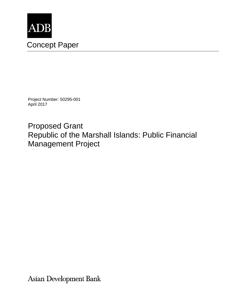

Project Number: 50295-001 April 2017

Proposed Grant Republic of the Marshall Islands: Public Financial Management Project

Asian Development Bank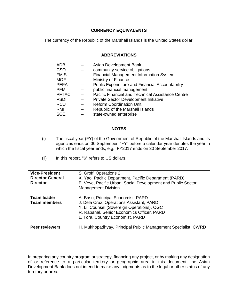### **CURRENCY EQUIVALENTS**

The currency of the Republic of the Marshall Islands is the United States dollar.

### **ABBREVIATIONS**

| ADB          | Asian Development Bank                                 |
|--------------|--------------------------------------------------------|
| <b>CSO</b>   | community service obligations                          |
| <b>FMIS</b>  | <b>Financial Management Information System</b>         |
| <b>MOF</b>   | Ministry of Finance                                    |
| <b>PEFA</b>  | <b>Public Expenditure and Financial Accountability</b> |
| <b>PFM</b>   | public financial management                            |
| <b>PFTAC</b> | Pacific Financial and Technical Assistance Centre      |
| <b>PSDI</b>  | <b>Private Sector Development Initiative</b>           |
| <b>RCU</b>   | <b>Reform Coordination Unit</b>                        |
| RMI          | Republic of the Marshall Islands                       |
| <b>SOE</b>   | state-owned enterprise                                 |
|              |                                                        |

### **NOTES**

- (i) The fiscal year (FY) of the Government of Republic of the Marshall Islands and its agencies ends on 30 September. "FY" before a calendar year denotes the year in which the fiscal year ends, e.g., FY2017 ends on 30 September 2017.
- (ii) In this report, "\$" refers to US dollars.

| <b>Vice-President</b><br><b>Director General</b><br><b>Director</b> | S. Groff, Operations 2<br>X. Yao, Pacific Department, Pacific Department (PARD)<br>E. Veve, Pacific Urban, Social Development and Public Sector<br><b>Management Division</b>                                  |
|---------------------------------------------------------------------|----------------------------------------------------------------------------------------------------------------------------------------------------------------------------------------------------------------|
| <b>Team leader</b><br><b>Team members</b>                           | A. Basu, Principal Economist, PARD<br>J. Dela Cruz, Operations Assistant, PARD<br>Y. Li, Counsel (Sovereign Operations), OGC<br>R. Rabanal, Senior Economics Officer, PARD<br>L. Tora, Country Economist, PARD |
| <b>Peer reviewers</b>                                               | H. Mukhopadhyay, Principal Public Management Specialist, CWRD                                                                                                                                                  |

In preparing any country program or strategy, financing any project, or by making any designation of or reference to a particular territory or geographic area in this document, the Asian Development Bank does not intend to make any judgments as to the legal or other status of any territory or area.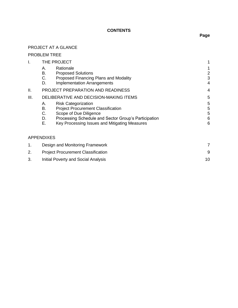## **CONTENTS**

# PROJECT AT A GLANCE

|      | <b>PROBLEM TREE</b>                                                                                                                                                                                                                      |                       |
|------|------------------------------------------------------------------------------------------------------------------------------------------------------------------------------------------------------------------------------------------|-----------------------|
| I.   | THE PROJECT                                                                                                                                                                                                                              |                       |
|      | Rationale<br>А.<br>В.<br><b>Proposed Solutions</b><br>С.<br>Proposed Financing Plans and Modality<br>D.<br><b>Implementation Arrangements</b>                                                                                            | 2<br>3<br>4           |
| Ш.   | PROJECT PREPARATION AND READINESS                                                                                                                                                                                                        | 4                     |
| III. | DELIBERATIVE AND DECISION-MAKING ITEMS                                                                                                                                                                                                   | 5                     |
|      | А.<br><b>Risk Categorization</b><br>В.<br><b>Project Procurement Classification</b><br>С.<br>Scope of Due Diligence<br>Processing Schedule and Sector Group's Participation<br>D.<br>Ε.<br>Key Processing Issues and Mitigating Measures | 5<br>5<br>5<br>6<br>6 |
|      | <b>APPENDIXES</b>                                                                                                                                                                                                                        |                       |
|      | Design and Monitoring Framework                                                                                                                                                                                                          |                       |

| <b>Design and Monitoring Framework</b>    |  |
|-------------------------------------------|--|
| <b>Project Procurement Classification</b> |  |
| Initial Poverty and Social Analysis       |  |

# **Page**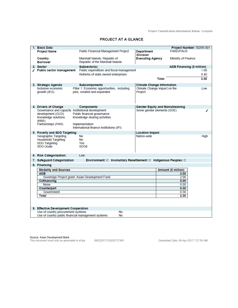**Project Classification Information Status: Complete** 

#### **PROJECT AT A GLANCE**

|                     | 1. Basic Data                                                             |                                                                  |                                   | Project Number: 50295-001              |             |  |
|---------------------|---------------------------------------------------------------------------|------------------------------------------------------------------|-----------------------------------|----------------------------------------|-------------|--|
|                     | <b>Project Name</b>                                                       | <b>Public Financial Management Project</b>                       | <b>Department</b>                 | <b>PARD/PAUS</b>                       |             |  |
|                     |                                                                           |                                                                  | /Division                         |                                        |             |  |
|                     | Country                                                                   | Marshall Islands, Republic of                                    | <b>Executing Agency</b>           | Ministry of Finance                    |             |  |
|                     | <b>Borrower</b>                                                           | Republic of the Marshall Islands                                 |                                   |                                        |             |  |
|                     | 2. Sector                                                                 | Subsector(s)                                                     |                                   | ADB Financing (\$ million)             |             |  |
|                     | √ Public sector management                                                | Public expenditure and fiscal management                         |                                   |                                        | 1.60        |  |
|                     |                                                                           | Reforms of state owned enterprises                               |                                   |                                        | 0.40        |  |
|                     |                                                                           |                                                                  |                                   | <b>Total</b>                           | 2.00        |  |
|                     |                                                                           |                                                                  |                                   |                                        |             |  |
|                     | 3. Strategic Agenda                                                       | <b>Subcomponents</b>                                             | <b>Climate Change Information</b> |                                        |             |  |
|                     | Inclusive economic                                                        | Pillar 1: Economic opportunities, including                      | Climate Change impact on the      |                                        | Low         |  |
|                     | growth (IEG)                                                              | jobs, created and expanded                                       | Project                           |                                        |             |  |
|                     |                                                                           |                                                                  |                                   |                                        |             |  |
|                     |                                                                           |                                                                  |                                   |                                        |             |  |
|                     |                                                                           |                                                                  |                                   |                                        |             |  |
|                     | 4. Drivers of Change<br>Governance and capacity Institutional development | <b>Components</b>                                                | Some gender elements (SGE)        | <b>Gender Equity and Mainstreaming</b> | ℐ           |  |
|                     | development (GCD)                                                         | Public financial governance                                      |                                   |                                        |             |  |
|                     | Knowledge solutions                                                       | Knowledge sharing activities                                     |                                   |                                        |             |  |
|                     | (KNS)                                                                     |                                                                  |                                   |                                        |             |  |
|                     | Partnerships (PAR)                                                        | Implementation                                                   |                                   |                                        |             |  |
|                     |                                                                           | International finance institutions (IFI)                         |                                   |                                        |             |  |
|                     | 5. Poverty and SDG Targeting                                              |                                                                  | <b>Location Impact</b>            |                                        |             |  |
|                     | Geographic Targeting                                                      | No                                                               | Nation-wide                       |                                        | <b>High</b> |  |
|                     | <b>Household Targeting</b>                                                | No                                                               |                                   |                                        |             |  |
|                     | <b>SDG Targeting</b>                                                      | Yes                                                              |                                   |                                        |             |  |
|                     | <b>SDG Goals</b>                                                          | SDG8                                                             |                                   |                                        |             |  |
|                     |                                                                           |                                                                  |                                   |                                        |             |  |
|                     | 6. Risk Categorization:                                                   | Low                                                              |                                   |                                        |             |  |
|                     | 7. Safeguard Categorization                                               | Environment: C Involuntary Resettlement: C Indigenous Peoples: C |                                   |                                        |             |  |
|                     | 8. Financing                                                              |                                                                  |                                   |                                        |             |  |
|                     | <b>Modality and Sources</b>                                               |                                                                  |                                   | Amount (\$ million)                    |             |  |
|                     | <b>ADB</b>                                                                |                                                                  |                                   | 2.00                                   |             |  |
|                     | Sovereign Project grant: Asian Development Fund<br>2.00                   |                                                                  |                                   |                                        |             |  |
|                     | Cofinancing<br>0.00                                                       |                                                                  |                                   |                                        |             |  |
| 0.00<br><b>None</b> |                                                                           |                                                                  |                                   |                                        |             |  |
|                     | Counterpart                                                               |                                                                  |                                   | 0.30                                   |             |  |
|                     | Government                                                                |                                                                  |                                   | 0.30                                   |             |  |
|                     | <b>Total</b>                                                              |                                                                  |                                   | 2.30                                   |             |  |
|                     |                                                                           |                                                                  |                                   |                                        |             |  |
|                     |                                                                           |                                                                  |                                   |                                        |             |  |
|                     | 9. Effective Development Cooperation                                      |                                                                  |                                   |                                        |             |  |
|                     | Use of country procurement systems<br><b>No</b>                           |                                                                  |                                   |                                        |             |  |
|                     | Use of country public financial management systems                        | <b>No</b>                                                        |                                   |                                        |             |  |
|                     |                                                                           |                                                                  |                                   |                                        |             |  |

Source: Asian Development Bank<br>This document must only be generated in eOps. 08022017123028717369

Generated Date: 06-Apr-2017 7:27:58 AM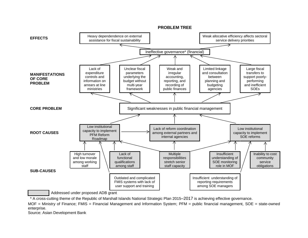

Addressed under proposed ADB grant

\* A cross-cutting theme of the Republic of Marshall Islands National Strategic Plan 2015–2017 is achieving effective governance.

MOF = Ministry of Finance; FMIS = Financial Management and Information System; PFM = public financial management, SOE = state-owned enterprise.

Source: Asian Development Bank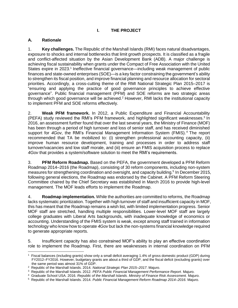## **I. THE PROJECT**

### **A. Rationale**

1. **Key challenges.** The Republic of the Marshall Islands (RMI) faces natural disadvantages, exposure to shocks and internal bottlenecks that limit growth prospects. It is classified as a fragile and conflict-affected situation by the Asian Development Bank (ADB). A major challenge is achieving fiscal sustainability when grants under the Compact of Free Association with the United States expire in 2023.<sup>1</sup> Ineffective financial governance—including weak management of public finances and state-owned enterprises (SOE)—is a key factor constraining the government's ability to strengthen its fiscal position, and improve financial planning and resource allocation for sectoral priorities. Accordingly, a cross-cutting theme of the RMI National Strategic Plan 2015–2017 is "ensuring and applying the practice of good governance principles to achieve effective governance". Public financial management (PFM) and SOE reforms are two strategic areas through which good governance will be achieved.<sup>2</sup> However, RMI lacks the institutional capacity to implement PFM and SOE reforms effectively.

2. **Weak PFM framework.** In 2012, a Public Expenditure and Financial Accountability (PEFA) study reviewed the RMI's PFM framework, and highlighted significant weaknesses.<sup>3</sup> In 2016, an assessment further found that over the last several years, the Ministry of Finance (MOF) has been through a period of high turnover and loss of senior staff, and has received diminished support for 4Gov, the RMI's Financial Management Information System (FMIS).<sup>4</sup> The report recommended that TA be mobilized to: (i) strengthen professional accounting capacity, (ii) improve human resource development, training and processes in order to address staff turnover/vacancies and low staff morale, and (iii) ensure an FMIS acquisition process to replace *4Gov* that provides a system/software solution to meet the RMI's requirements.

3. **PFM Reform Roadmap.** Based on the PEFA, the government developed a PFM Reform Roadmap 2014–2016 (the Roadmap), consisting of 30 reform components, including non-system measures for strengthening coordination and oversight, and capacity building.<sup>5</sup> In December 2015, following general elections, the Roadmap was endorsed by the Cabinet. A PFM Reform Steering Committee chaired by the Chief Secretary was established in March 2016 to provide high-level management. The MOF leads efforts to implement the Roadmap.

4. **Roadmap implementation.** While the authorities are committed to reforms, the Roadmap lacks systematic prioritization. Together with high turnover of staff and insufficient capacity in MOF, this has meant that the Roadmap remains a wish list, with limited implementation progress. Senior MOF staff are stretched, handling multiple responsibilities. Lower-level MOF staff are largely college graduates with Liberal Arts backgrounds, with inadequate knowledge of economics or accounting. Understanding of the FMIS system is weak, except among staff trained in information technology who know how to operate *4Gov* but lack the non-systems financial knowledge required to generate appropriate reports.

5. Insufficient capacity has also constrained MOF's ability to play an effective coordination role to implement the Roadmap. First, there are weaknesses in internal coordination on PFM

<sup>1</sup> Fiscal balances (including grants) show only a small deficit averaging 1.4% of gross domestic product (GDP) during FY2012–FY2016. However, budgetary grants are about a third of GDP, and the fiscal deficit (excluding grants) over the same period was almost 31% of GDP.

<sup>2</sup> Republic of the Marshall Islands. 2014. *National Strategic Plan 2015–2017*. Majuro.

<sup>3</sup> Republic of the Marshall Islands. 2012. *PEFA Public Financial Management Performance Report*. Majuro.

<sup>4</sup> Graduate School USA. 2016. *Republic of the Marshall Islands. Ministry of Finance Risk Assessment.* Majuro.

<sup>5</sup> Republic of the Marshall Islands. 2014. *Public Financial Management Reform Roadmap 2014–2016.* Majuro.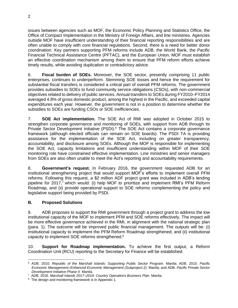issues between agencies such as MOF, the Economic Policy Planning and Statistics Office, the Office of Compact Implementation in the Ministry of Foreign Affairs, and line ministries. Agencies outside MOF have insufficient understanding of their financial reporting responsibilities and are often unable to comply with core financial regulations. Second, there is a need for better donor coordination. Key partners supporting PFM reforms include ADB, the World Bank, the Pacific Financial Technical Assistance Centre (PFTAC), and the European Union. MOF must establish an effective coordination mechanism among them to ensure that PFM reform efforts achieve timely results, while avoiding duplication or contradictory advice.

6. **Fiscal burden of SOEs.** Moreover, the SOE sector, presently comprising 11 public enterprises, continues to underperform. Stemming SOE losses and hence the requirement for substantial fiscal transfers is considered a critical part of overall PFM reforms. The government provides subsidies to SOEs to fund community service obligations (CSOs), with non-commercial objectives related to delivery of public services. Annual transfers to SOEs during FY2010–FY2014 averaged 4.8% of gross domestic product, among the highest in the Pacific, and exceeded capital expenditures each year. However, the government is not in a position to determine whether the subsidies to SOEs are funding CSOs or SOE inefficiencies.

7. **SOE Act implementation.** The SOE Act of RMI was adopted in October 2015 to strengthen corporate governance and monitoring of SOEs, with support from ADB through its Private Sector Development Initiative (PSDI).<sup>6</sup> The SOE Act contains a corporate governance framework (although elected officials can remain on SOE boards). The PSDI TA is providing assistance for the implementation of the SOE Act, including on greater transparency, accountability, and disclosure among SOEs. Although the MOF is responsible for implementing the SOE Act, capacity limitations and insufficient understanding within MOF of their SOE monitoring role have constrained effective implementation. Line ministries and senior managers from SOEs are also often unable to meet the Act's reporting and accountability requirements.

8. **Government's request.** In February 2016, the government requested ADB for an institutional strengthening project that would support MOF's efforts to implement overall PFM reforms. Following this request, a \$2 million ADF project grant was included in ADB's lending pipeline for 2017,<sup>7</sup> which would: (i) help MOF to prioritize and implement RMI's PFM Reform Roadmap, and (ii) provide operational support to SOE reforms complementing the policy and legislative support being provided by PSDI.

### **B. Proposed Solutions**

9. ADB proposes to support the RMI government through a project grant to address the low institutional capacity of the MOF to implement PFM and SOE reforms effectively. The impact will be more effective governance achieved in the RMI, in alignment with the national strategic plan (para. 1). The outcome will be improved public financial management. The outputs will be: (i) institutional capacity to implement the PFM Reform Roadmap strengthened; and (ii) institutional capacity to implement SOE reforms strengthened. $8$ 

10. **Support for Roadmap implementation.** To achieve the first output, a Reform Coordination Unit (RCU) reporting to the Secretary for Finance will be established.

 $\overline{a}$ <sup>6</sup> ADB. 2010. *Republic of the Marshall Islands: Supporting Public Sector Program.* Manila; ADB. 2010. *Pacific Economic Management–Enhanced Economic Management (Subproject 2).* Manila; and ADB. *Pacific Private Sector Development Initiative Phase II.* Manila.

<sup>7</sup> ADB. 2016. *Marshall Islands 2017–2019. Country Operations Business Plan*. Manila.

<sup>&</sup>lt;sup>8</sup> The design and monitoring framework is in Appendix 1.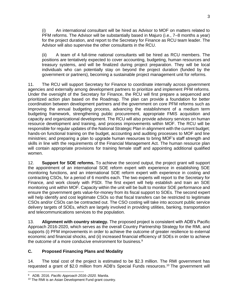An international consultant will be hired as Advisor to MOF on matters related to PFM reforms. The Advisor will be substantially based in Majuro (i.e., 7–8 months a year) for the project duration, and report to the Secretary for Finance as RCU team leader. The Advisor will also supervise the other consultants in the RCU.

(ii) A team of 4 full-time national consultants will be hired as RCU members. The positions are tentatively expected to cover accounting, budgeting, human resources and treasury systems, and will be finalized during project preparation. They will be local individuals who can potentially stay on beyond the project duration (funded by the government or partners), becoming a sustainable project management unit for reforms.

11. The RCU will support Secretary for Finance to coordinate internally across government agencies and externally among development partners to prioritize and implement PFM reforms. Under the oversight of the Secretary for Finance, the RCU will first prepare a sequenced and prioritized action plan based on the Roadmap. The plan can provide a foundation for better coordination between development partners and the government on core PFM reforms such as improving the annual budgeting process, advancing the establishment of a medium term budgeting framework, strengthening public procurement, appropriate FMIS acquisition and capacity and organizational development. The RCU will also provide advisory services on human resource development and training, and process improvements within MOF. The RCU will be responsible for regular updates of the National Strategic Plan in alignment with the current budget; hands-on functional training on the budget, accounting and auditing processes to MOF and line ministries; and preparing a plan to upgrade human resources to bring MOF's staff strength and skills in line with the requirements of the Financial Management Act. The human resource plan will contain appropriate provisions for training female staff and appointing additional qualified women.

12. **Support for SOE reforms.** To achieve the second output, the project grant will support the appointment of an international SOE reform expert with experience in establishing SOE monitoring functions, and an international SOE reform expert with experience in costing and contracting CSOs, for a period of 6 months each. The two experts will report to the Secretary for Finance, and work closely with PSDI. The first expert will help establish and train an SOE monitoring unit within MOF. Capacity within the unit will be built to monitor SOE performance and ensure the government gets value-for-money from its fiscal support to SOEs. The second expert will help identify and cost legitimate CSOs so that fiscal transfers can be restricted to legitimate CSOs and/or CSOs can be contracted out. The CSO costing will take into account public service delivery targets of SOEs, which are largely involved in providing utilities, banking, transportation and telecommunications services to the population.

13. **Alignment with country strategy.** The proposed project is consistent with ADB's Pacific Approach 2016-2020, which serves as the overall Country Partnership Strategy for the RMI, and supports (i) PFM improvements in order to achieve the outcome of greater resilience to external economic and financial shocks, and (ii) increased financial efficiency of SOEs in order to achieve the outcome of a more conducive environment for business.<sup>9</sup>

### **C. Proposed Financing Plans and Modality**

14. The total cost of the project is estimated to be \$2.3 million. The RMI government has requested a grant of \$2.0 million from ADB's Special Funds resources. <sup>10</sup> The government will

 $\overline{a}$ 9 ADB. 2016. *Pacific Approach 2016–2020.* Manila.

<sup>10</sup> The RMI is an Asian Development Fund grant country.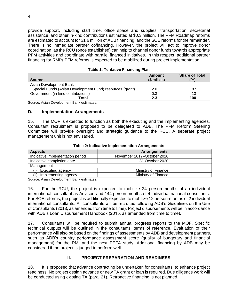provide support, including staff time, office space and supplies, transportation, secretarial assistance, and other in-kind contributions estimated at \$0.3 million. The PFM Roadmap reforms are estimated to account for \$1.6 million of ADB financing, and the SOE reforms for the remainder. There is no immediate partner cofinancing. However, the project will act to improve donor coordination, as the RCU (once established) can help to channel donor funds towards appropriate PFM activities and coordinate with parallel financed initiatives. In this respect, additional partner financing for RMI's PFM reforms is expected to be mobilized during project implementation.

|                                                          | <b>Amount</b> | <b>Share of Total</b> |
|----------------------------------------------------------|---------------|-----------------------|
| <b>Source</b>                                            | $($$ million) | $\frac{1}{2}$         |
| Asian Development Bank                                   |               |                       |
| Special Funds (Asian Development Fund) resources (grant) | 2.0           | 87                    |
| Government (in-kind contributions)                       | 0.3           | 13                    |
| Total                                                    | 2.3           | 100                   |

#### **Table 1: Tentative Financing Plan**

Source: Asian Development Bank estimates.

#### **D. Implementation Arrangements**

15. The MOF is expected to function as both the executing and the implementing agencies. Consultant recruitment is proposed to be delegated to ADB. The PFM Reform Steering Committee will provide oversight and strategic guidance to the RCU. A separate project management unit is not envisaged.

| <b>Aspects</b>                   | <b>Arrangements</b>        |
|----------------------------------|----------------------------|
| Indicative implementation period | November 2017-October 2020 |
| Indicative completion date       | 31 October 2020            |
| Management                       |                            |
| Executing agency                 | Ministry of Finance        |
| (ii)<br>Implementing agency      | Ministry of Finance        |

#### **Table 2: Indicative Implementation Arrangements**

Source: Asian Development Bank estimates.

16. For the RCU, the project is expected to mobilize 24 person-months of an individual international consultant as Advisor, and 144 person-months of 4 individual national consultants. For SOE reforms, the project is additionally expected to mobilize 12 person-months of 2 individual international consultants. All consultants will be recruited following ADB's Guidelines on the Use of Consultants (2013, as amended from time to time). Project disbursements will be in accordance with ADB's Loan Disbursement Handbook (2015, as amended from time to time).

17. Consultants will be required to submit annual progress reports to the MOF. Specific technical outputs will be outlined in the consultants' terms of reference. Evaluation of their performance will also be based on the findings of assessments by ADB and development partners, such as ADB's country performance assessment score (quality of budgetary and financial management) for the RMI and the next PEFA study. Additional financing by ADB may be considered if the project is judged to perform well.

### **II. PROJECT PREPARATION AND READINESS**

18. It is proposed that advance contracting be undertaken for consultants, to enhance project readiness. No project design advance or new TA grant or loan is required. Due diligence work will be conducted using existing TA (para. 21). Retroactive financing is not planned.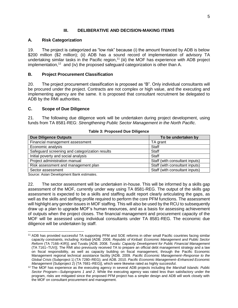### **III. DELIBERATIVE AND DECISION-MAKING ITEMS**

### **A. Risk Categorization**

19. The project is categorized as "low risk" because (i) the amount financed by ADB is below \$200 million (\$2 million); (ii) ADB has a sound record of implementation of advisory TA undertaking similar tasks in the Pacific region,<sup>11</sup> (iii) the MOF has experience with ADB project implementation,<sup>12</sup> and (iv) the proposed safeguard categorization is other than A.

### **B. Project Procurement Classification**

20. The project procurement classification is proposed as "B". Only individual consultants will be procured under the project. Contracts are not complex or high value, and the executing and implementing agency are the same. It is proposed that consultant recruitment be delegated to ADB by the RMI authorities.

### **C. Scope of Due Diligence**

21. The following due diligence work will be undertaken during project development, using funds from TA 8581-REG: *Strengthening Public Sector Management in the North Pacific*.

| <b>Due Diligence Outputs</b>                   | To be undertaken by            |  |
|------------------------------------------------|--------------------------------|--|
| Financial management assessment                | TA grant                       |  |
| Economic analysis                              | Staff                          |  |
| Safeguard screening and categorization results | Staff                          |  |
| Initial poverty and social analysis            | Staff                          |  |
| Project administration manual                  | Staff (with consultant inputs) |  |
| Risk assessment and management plan            | Staff (with consultant inputs) |  |
| Sector assessment                              | Staff (with consultant inputs) |  |

#### **Table 3: Proposed Due Diligence**

Source: Asian Development Bank estimates.

22. The sector assessment will be undertaken in-house. This will be informed by a skills gap assessment of the MOF, currently under way using TA 8581-REG. The output of the skills gap assessment is expected to be a skills and staffing audit report clearly articulating the gaps, as well as the skills and staffing profile required to perform the core PFM functions. The assessment will highlight any gender issues in MOF staffing. This will also be used by the RCU to subsequently draw up a plan to upgrade MOF's human resources, and as a basis for assessing achievement of outputs when the project closes. The financial management and procurement capacity of the MOF will be assessed using individual consultants under TA 8581-REG. The economic due diligence will be undertaken by staff.

 <sup>11</sup> ADB has provided successful TA supporting PFM and SOE reforms in other small Pacific countries facing similar capacity constraints, including: Kiribati [ADB. 2008. *Republic of Kiribati: Economic Management and Public Sector Reform* (TA 7166–KIR)]; and Tuvalu [ADB. 2008. *Tuvalu: Capacity Development for Public Financial Management* (TA 7161–TUV)]. The RMI also previously received TA to prepare an official debt management strategy and a law on fiscal responsibility, as well as capacity building on fiscal management, through the Pacific Economic Management regional technical assistance facility [ADB. 2009. *Pacific Economic Management*–*Response to the Global Crisis* (Subproject 1) (TA 7280–REG); and ADB. 2010. *Pacific Economic Management*–*Enhanced Economic Management* (Subproject 2) (TA 7681–REG)], which were likewise rated as highly successful.

<sup>12</sup> The MOF has experience as the executing agency in several ADB projects including the *Marshall Islands: Public Sector Program—Subprograms 1 and 2*. While the executing agency was rated less than satisfactory under the program, risks are mitigated since the proposed PFM project has a simpler design and ADB will work closely with the MOF on consultant procurement and management.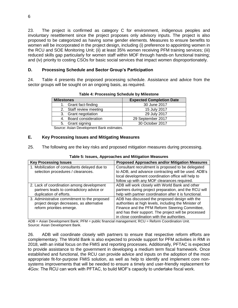23. The project is confirmed as category C for environment, indigenous peoples and involuntary resettlement since the project proposes only advisory inputs. The project is also proposed to be categorized as having some gender elements. Measures to ensure benefits to women will be incorporated in the project design, including (i) preference to appointing women in the RCU and SOE Monitoring Unit; (ii) at least 35% women receiving PFM training services; (iii) reduced skills gap particularly for women staff within MOF through hands-on functional training; and (iv) priority to costing CSOs for basic social services that impact women disproportionately.

### **D. Processing Schedule and Sector Group's Participation**

24. Table 4 presents the proposed processing schedule. Assistance and advice from the sector groups will be sought on an ongoing basis, as required.

| <b>Milestones</b>       | <b>Expected Completion Date</b> |  |  |
|-------------------------|---------------------------------|--|--|
| 1. Grant fact-finding   | 30 June 2017                    |  |  |
| 2. Staff review meeting | 15 July 2017                    |  |  |
| 3. Grant negotiation    | 29 July 2017                    |  |  |
| 4. Board consideration  | 29 September 2017               |  |  |
| 5. Grant signing        | 30 October 2017                 |  |  |

**Table 4: Processing Schedule by Milestone**

Source: Asian Development Bank estimates.

### **E. Key Processing Issues and Mitigating Measures**

25. The following are the key risks and proposed mitigation measures during processing.

| <b>Key Processing Issues</b>                  | <b>Proposed Approaches and/or Mitigation Measures</b>  |
|-----------------------------------------------|--------------------------------------------------------|
| 1. Mobilization of consultants delayed due to | Consultant recruitment is proposed to be delegated     |
| selection procedures / clearances.            | to ADB, and advance contracting will be used. ADB's    |
|                                               | local development coordination office will help to     |
|                                               | follow up with any MOF clearances required.            |
| 2. Lack of coordination among development     | ADB will work closely with World Bank and other        |
| partners leads to contradictory advice or     | partners during project preparation, and the RCU will  |
| duplication of efforts.                       | help with partner coordination after it is functional. |
| 3. Administrative commitment to the proposed  | ADB has discussed the proposed design with the         |
| project design decreases, as alternative      | authorities at high levels, including the Minister of  |
| reform priorities emerge.                     | Finance and the PFM Reform Steering Committee,         |
|                                               | and has their support. The project will be processed   |
|                                               | in close coordination with the authorities.            |

#### **Table 5: Issues, Approaches and Mitigation Measures**

ADB = Asian Development Bank; PFM = public financial management; RCU = Reform Coordination Unit. Source: Asian Development Bank.

26. ADB will coordinate closely with partners to ensure that respective reform efforts are complementary. The World Bank is also expected to provide support for PFM activities in RMI in 2018, with an initial focus on the FMIS and reporting processes. Additionally, PFTAC is expected to provide assistance to the government in developing a medium term fiscal framework. Once established and functional, the RCU can provide advice and inputs on the adoption of the most appropriate fit-for-purpose FMIS solution, as well as help to identify and implement core nonsystems improvements that will be needed to ensure a timely and user-friendly replacement for *4Gov.* The RCU can work with PFTAC, to build MOF's capacity to undertake fiscal work.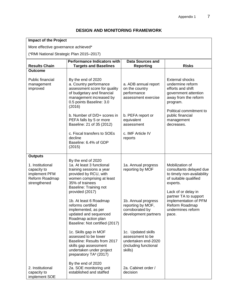## **DESIGN AND MONITORING FRAMEWORK**

|  |  | <b>Impact of the Project</b> |
|--|--|------------------------------|
|--|--|------------------------------|

More effective governance achieved\*

(\*RMI National Strategic Plan 2015–2017)

| $($ Two Production Chalcyle Fight 2010–2017)                                       |                                                                                                                                                                                |                                                                                                   |                                                                                                                             |  |  |
|------------------------------------------------------------------------------------|--------------------------------------------------------------------------------------------------------------------------------------------------------------------------------|---------------------------------------------------------------------------------------------------|-----------------------------------------------------------------------------------------------------------------------------|--|--|
| <b>Results Chain</b>                                                               | <b>Performance Indicators with</b><br><b>Targets and Baselines</b>                                                                                                             | <b>Data Sources and</b><br><b>Reporting</b>                                                       | <b>Risks</b>                                                                                                                |  |  |
| <b>Outcome</b>                                                                     |                                                                                                                                                                                |                                                                                                   |                                                                                                                             |  |  |
| Public financial<br>management<br>improved                                         | By the end of 2020<br>a. Country performance<br>assessment score for quality<br>of budgetary and financial<br>management increased by<br>0.5 points Baseline: 3.0<br>(2016)    | a. ADB annual report<br>on the country<br>performance<br>assessment exercise                      | <b>External shocks</b><br>undermine reform<br>efforts and shift<br>government attention<br>away from the reform<br>program. |  |  |
|                                                                                    | b. Number of D/D+ scores in<br>PEFA falls by 5 or more<br>Baseline: 21 of 35 (2012)                                                                                            | b. PEFA report or<br>equivalent<br>assessment                                                     | Political commitment to<br>public financial<br>management<br>decreases.                                                     |  |  |
|                                                                                    | c. Fiscal transfers to SOEs<br>decline<br>Baseline: 6.4% of GDP<br>(2015)                                                                                                      | c. IMF Article IV<br>reports                                                                      |                                                                                                                             |  |  |
| <b>Outputs</b>                                                                     |                                                                                                                                                                                |                                                                                                   |                                                                                                                             |  |  |
| 1. Institutional<br>capacity to<br>implement PFM<br>Reform Roadmap<br>strengthened | By the end of 2020<br>1a. At least 3 functional<br>training sessions a year<br>provided by RCU, with<br>women comprising at least<br>35% of trainees<br>Baseline: Training not | 1a. Annual progress<br>reporting by MOF                                                           | Mobilization of<br>consultants delayed due<br>to timely non-availability<br>of suitable qualified<br>experts.               |  |  |
|                                                                                    | provided (2017)<br>1b. At least 6 Roadmap<br>reforms certified<br>implemented, as per<br>updated and sequenced<br>Roadmap action plan<br>Baseline: Not certified (2017)        | 1b. Annual progress<br>reporting by MOF,<br>corroborated by<br>development partners               | Lack of or delay in<br>partner TA to support<br>implementation of PFM<br>Reform Roadmap<br>undermines reform<br>pace.       |  |  |
|                                                                                    | 1c. Skills gap in MOF<br>assessed to be lower<br>Baseline: Results from 2017<br>skills gap assessment<br>undertaken under project<br>preparatory TA <sup>a</sup> (2017)        | 1c. Updated skills<br>assessment to be<br>undertaken end-2020<br>(including functional<br>skills) |                                                                                                                             |  |  |
| 2. Institutional<br>capacity to<br>implement SOE                                   | By the end of 2020<br>2a. SOE monitoring unit<br>established and staffed                                                                                                       | 2a. Cabinet order /<br>decision                                                                   |                                                                                                                             |  |  |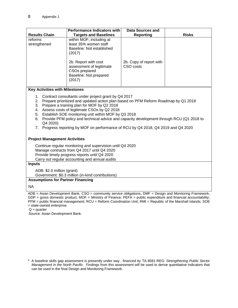| <b>Results Chain</b>    | <b>Performance Indicators with</b><br><b>Targets and Baselines</b>                                                                                                                                            | Data Sources and<br>Reporting        | <b>Risks</b> |
|-------------------------|---------------------------------------------------------------------------------------------------------------------------------------------------------------------------------------------------------------|--------------------------------------|--------------|
| reforms<br>strengthened | within MOF, including at<br>least 35% women staff<br>Baseline: Not established<br>(2017)<br>2b. Report with cost<br>assessment of legitimate<br>CSO <sub>s</sub> prepared<br>Baseline: Not prepared<br>(2017) | 2b. Copy of report with<br>CSO costs |              |

#### **Key Activities with Milestones**

- 1. Contract consultants under project grant by Q4 2017
- 2. Prepare prioritized and updated action plan based on PFM Reform Roadmap by Q1 2018
- 3. Prepare a training plan for MOF by Q2 2018
- 4. Assess costs of legitimate CSOs by Q2 2018
- 5. Establish SOE monitoring unit within MOF by Q3 2018
- 6. Provide PFM policy and technical advice and capacity development through RCU (Q1 2018 to Q4 2020)
- 7. Progress reporting by MOF on performance of RCU by Q4 2018, Q4 2019 and Q4 2020

#### **Project Management Activities**

Continue regular monitoring and supervision until Q4 2020 Manage contracts from Q4 2017 until Q4 2020 Provide timely progress reports until Q4 2020 Carry out regular accounting and annual audits

#### **Inputs**

ADB: \$2.0 million (grant) Government: \$0.3 million (in-kind contributions)

#### **Assumptions for Partner Financing**

NA

ADB = Asian Development Bank, CSO = community service obligations, DMF = Design and Monitoring Framework, GDP = gross domestic product, MOF = Ministry of Finance; PEFA = public expenditure and financial accountability; PFM = public financial management; RCU = Reform Coordination Unit; RMI = Republic of the Marshall Islands; SOE = state-owned enterprise

 $Q =$  quarter

Source: Asian Development Bank.

a A baseline skills gap assessment is presently under way , financed by TA 8581-REG: *Strengthening Public Sector Management in the North Pacific*. Findings from this assessment will be used to derive quantitative indicators that can be used in the final Design and Monitoring Framework.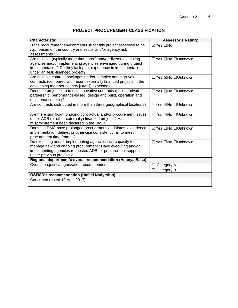# **PROJECT PROCUREMENT CLASSIFICATION**

| <b>Characteristic</b>                                                                                                                                                                                                                    | <b>Assessor's Rating:</b>            |  |  |  |
|------------------------------------------------------------------------------------------------------------------------------------------------------------------------------------------------------------------------------------------|--------------------------------------|--|--|--|
| Is the procurement environment risk for this project assessed to be<br>high based on the country and sector and/or agency risk<br>assessments?                                                                                           | ⊠Yes □No                             |  |  |  |
| Are multiple (typically more than three) and/or diverse executing<br>agencies and/or implementing agencies envisaged during project<br>implementation? Do they lack prior experience in implementation<br>under an ADB-financed project? | □Yes ⊠No □Unknown                    |  |  |  |
| Are multiple contract packages and/or complex and high-value<br>contracts (compared with recent externally financed projects in the<br>developing member country [DMC]) expected?                                                        | □Yes ⊠No □Unknown                    |  |  |  |
| Does the project plan to use innovative contracts (public-private<br>partnership, performance-based, design and build, operation and<br>maintenance, etc.)?                                                                              | □Yes ⊠No □Unknown                    |  |  |  |
| Are contracts distributed in more than three geographical locations?                                                                                                                                                                     | □Yes ⊠No □Unknown                    |  |  |  |
| Are there significant ongoing contractual and/or procurement issues<br>under ADB (or other externally) financed projects? Has<br>misprocurement been declared in the DMC?                                                                | □Yes ⊠No □Unknown                    |  |  |  |
| Does the DMC have prolonged procurement lead times, experience<br>implementation delays, or otherwise consistently fail to meet<br>procurement time frames?                                                                              | ⊠Yes □No □Unknown                    |  |  |  |
| Do executing and/or implementing agencies lack capacity to<br>manage new and ongoing procurement? Have executing and/or<br>implementing agencies requested ADB for procurement support<br>under previous projects?                       | ⊠Yes □No □Unknown                    |  |  |  |
| Regional department's overall recommendation (Ananya Basu)                                                                                                                                                                               |                                      |  |  |  |
| Overall project categorization recommended                                                                                                                                                                                               | Category A<br>$\boxtimes$ Category B |  |  |  |
| <b>OSFMD's recommendation (Rafael Nadyrshin)</b>                                                                                                                                                                                         |                                      |  |  |  |
| Confirmed (dated 10 April 2017)                                                                                                                                                                                                          |                                      |  |  |  |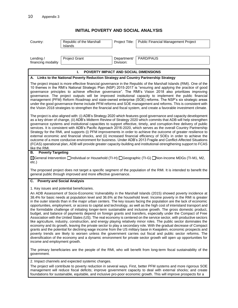# **INITIAL POVERTY AND SOCIAL ANALYSIS**

| Country:                                                                                                                                                                                                                                                                                                                                                                                                                                                                                                                                                                                                                                                                                                                                                                                                                                                                                                                                                                                                                                                                                                                                                                                                                                                                                                                                                                                                                                                                                                                          | Republic of the Marshall<br><b>Islands</b>        | Project Title:           | <b>Public Financial Management Project</b> |  |  |
|-----------------------------------------------------------------------------------------------------------------------------------------------------------------------------------------------------------------------------------------------------------------------------------------------------------------------------------------------------------------------------------------------------------------------------------------------------------------------------------------------------------------------------------------------------------------------------------------------------------------------------------------------------------------------------------------------------------------------------------------------------------------------------------------------------------------------------------------------------------------------------------------------------------------------------------------------------------------------------------------------------------------------------------------------------------------------------------------------------------------------------------------------------------------------------------------------------------------------------------------------------------------------------------------------------------------------------------------------------------------------------------------------------------------------------------------------------------------------------------------------------------------------------------|---------------------------------------------------|--------------------------|--------------------------------------------|--|--|
| Lending /<br>financing modality                                                                                                                                                                                                                                                                                                                                                                                                                                                                                                                                                                                                                                                                                                                                                                                                                                                                                                                                                                                                                                                                                                                                                                                                                                                                                                                                                                                                                                                                                                   | <b>Project Grant</b>                              | Department/<br>Division: | PARD/PAUS                                  |  |  |
|                                                                                                                                                                                                                                                                                                                                                                                                                                                                                                                                                                                                                                                                                                                                                                                                                                                                                                                                                                                                                                                                                                                                                                                                                                                                                                                                                                                                                                                                                                                                   | ı.<br>POVERTY IMPACT AND SOCIAL DIMENSIONS        |                          |                                            |  |  |
| A. Links to the National Poverty Reduction Strategy and Country Partnership Strategy                                                                                                                                                                                                                                                                                                                                                                                                                                                                                                                                                                                                                                                                                                                                                                                                                                                                                                                                                                                                                                                                                                                                                                                                                                                                                                                                                                                                                                              |                                                   |                          |                                            |  |  |
| The project impact is more effective financial governance in the Republic of the Marshall Islands (RMI). One of the<br>10 themes in the RMI's National Strategic Plan (NSP) 2015-2017 is "ensuring and applying the practice of good<br>governance principles to achieve effective governance". The RMI's Vision 2018 also prioritizes improving<br>governance. The project outputs will be improved institutional capacity to implement the public financial<br>management (PFM) Reform Roadmap and state-owned enterprise (SOE) reforms. The NSP's six strategic areas<br>under the good governance theme include PFM reforms and SOE management and reforms. This is consistent with<br>the Vision 2018 strategies to strengthen the financial and fiscal system, and create a favorable investment climate.                                                                                                                                                                                                                                                                                                                                                                                                                                                                                                                                                                                                                                                                                                                   |                                                   |                          |                                            |  |  |
| The project is also aligned with: (i) ADB's Strategy 2020 which features good governance and capacity development<br>as a key driver of change, (ii) ADB's Midterm Review of Strategy 2020 which commits that ADB will help strengthen<br>governance systems and institutional capacities to support effective, timely, and corruption-free delivery of public<br>services. It is consistent with ADB's Pacific Approach 2016-2020, which serves as the overall Country Partnership<br>Strategy for the RMI, and supports (i) PFM improvements in order to achieve the outcome of greater resilience to<br>external economic and financial shocks, and (ii) increased financial efficiency of SOEs in order to achieve the<br>outcome of a more conducive environment for business. Under ADB's 2013 Fragile and Conflict-Affected Situations<br>(FCAS) operational plan, ADB will provide greater capacity-building and institutional-strengthening support to FCAS<br>like the RMI.                                                                                                                                                                                                                                                                                                                                                                                                                                                                                                                                             |                                                   |                          |                                            |  |  |
| <b>Poverty Targeting</b><br>В.                                                                                                                                                                                                                                                                                                                                                                                                                                                                                                                                                                                                                                                                                                                                                                                                                                                                                                                                                                                                                                                                                                                                                                                                                                                                                                                                                                                                                                                                                                    |                                                   |                          |                                            |  |  |
| [TI-G) General Intervention nundividual or Household (TI-H) nundegraphic (TI-G) nun-Income MDGs (TI-M1, M2,<br>$etc.$ )                                                                                                                                                                                                                                                                                                                                                                                                                                                                                                                                                                                                                                                                                                                                                                                                                                                                                                                                                                                                                                                                                                                                                                                                                                                                                                                                                                                                           |                                                   |                          |                                            |  |  |
| The proposed project does not target a specific segment of the population of the RMI. It is intended to benefit the<br>general public through improved and more effective governance.                                                                                                                                                                                                                                                                                                                                                                                                                                                                                                                                                                                                                                                                                                                                                                                                                                                                                                                                                                                                                                                                                                                                                                                                                                                                                                                                             |                                                   |                          |                                            |  |  |
| C. Poverty and Social Analysis                                                                                                                                                                                                                                                                                                                                                                                                                                                                                                                                                                                                                                                                                                                                                                                                                                                                                                                                                                                                                                                                                                                                                                                                                                                                                                                                                                                                                                                                                                    |                                                   |                          |                                            |  |  |
| 1. Key issues and potential beneficiaries.<br>An ADB Assessment of Socio-Economic Vulnerability in the Marshall Islands (2015) showed poverty incidence at<br>38.4% for basic needs at population level and 36.6% at the household level. Income poverty in the RMI is greater<br>in the outer islands than in the major urban centers. The key issues facing the population are the lack of economic<br>opportunities, employment, or access to capital and technology, as well as the high cost of interisland transport and<br>the formidable challenge of initiating longer-term sustainable and inclusive growth. The gross domestic product,<br>budget, and balance of payments depend on foreign grants and transfers, especially under the Compact of Free<br>Association with the United States (US). The real economy is centered on the service sector, with productive sectors<br>like agriculture, industry, construction, and energy playing relatively minor roles. The public sector dominates the<br>economy and its growth, leaving the private sector to play a secondary role. With the gradual decrease of Compact<br>grants and the potential for declining wage income from the US military base in Kwajalein, economic prospects and<br>poverty trends are likely to worsen unless the government carries out fiscal and public sector reforms. The<br>diversification of the economy and a dynamic environment for private sector growth will open up opportunities for<br>income and employment growth. |                                                   |                          |                                            |  |  |
| The primary beneficiaries are the people of the RMI, who will benefit from long-term fiscal sustainability of the<br>government.                                                                                                                                                                                                                                                                                                                                                                                                                                                                                                                                                                                                                                                                                                                                                                                                                                                                                                                                                                                                                                                                                                                                                                                                                                                                                                                                                                                                  |                                                   |                          |                                            |  |  |
|                                                                                                                                                                                                                                                                                                                                                                                                                                                                                                                                                                                                                                                                                                                                                                                                                                                                                                                                                                                                                                                                                                                                                                                                                                                                                                                                                                                                                                                                                                                                   | 2. Impact channels and expected systemic changes. |                          |                                            |  |  |
| The project will contribute to poverty reduction in several ways. First, better PFM systems and more rigorous SOE<br>management will reduce fiscal deficits; improve government capacity to deal with external shocks; and create<br>foundations for sustainable, equitable, and inclusive pro-poor economic growth. This will improve prospects for a                                                                                                                                                                                                                                                                                                                                                                                                                                                                                                                                                                                                                                                                                                                                                                                                                                                                                                                                                                                                                                                                                                                                                                            |                                                   |                          |                                            |  |  |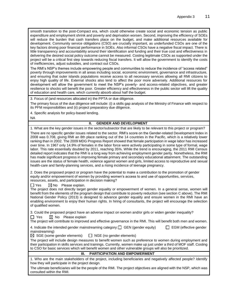smooth transition to the post-Compact era, which could otherwise create social and economic tension as public expenditure and employment shrink and poverty and deprivation worsen. Second, improving the efficiency of SOEs will reduce the burden that cash transfers place on the budget, and make additional resources available for development. Community service obligations (CSO) are crucially important, as underfunded CSOs are one of the key factors driving poor financial performance in SOEs. Also informal CSOs have a negative fiscal impact. There is little transparency and accountability around their identification and funding and their true cost and effectiveness in delivering the desired social policy outcome cannot be measured. Costing legitimate CSOs as supported under the project will be a critical first step towards reducing fiscal transfers. It will allow the government to identify the costs of inefficiencies, adjust subsidies, and contract out CSOs.

The RMI's NSP's themes include empowering people and communities to reduce the incidence of "access related" poverty through improvements in all areas including social, economic environment, governance and infrastructure, and ensuring that outer islands populations receive access to all necessary services allowing all RMI citizens to enjoy high quality of life. External shocks also tend to affect the poor more adversely. Additional resources for development will allow the government to meet the NSP's poverty- and access-related objectives, and greater resilience to shocks will benefit the poor. Greater efficiency and effectiveness in the public sector will lift the quality of education and health care, which currently absorb about half the budget.

3. Focus of (and resources allocated in) the PPTA or due diligence.

The primary focus of the due diligence will include: (i) a skills gap analysis of the Ministry of Finance with respect to its PFM responsibilities and (ii) project preparatory due diligence.

4. Specific analysis for policy-based lending.

NA

#### **II. GENDER AND DEVELOPMENT**

1. What are the key gender issues in the sector/subsector that are likely to be relevant to this project or program?

There are no specific gender issues related to the sector. RMI's score on the Gender-related Development Index in 2008 was 0.708, giving RMI an 8th place ranking out of the 14 countries in the Pacific, which is a relatively lower ranking than in 2002. The 2009 MDG Progress Report showed that female participation in wage labor has increased over time. In 1967 only 14.9% of females in the labor force were actively participating in some type of formal, wage labor. This rate essentially doubled by 2011, reaching 35%. While the trend is encouraging, the 2011 RMI Census detailed report indicates that the RMI is a long way from achieving employment gender parity. Nonetheless, the RMI has made significant progress in improving female primary and secondary educational attainment. The outstanding issues are the status of female health, violence against women and girls, limited access to reproductive and sexual health-care and family-planning services, and a rising incidence of teenage pregnancy.

2. Does the proposed project or program have the potential to make a contribution to the promotion of gender equity and/or empowerment of women by providing women's access to and use of opportunities, services, resources, assets, and participation in decision making?

 $\Box$  Yes  $\Box$  No Please explain.

The project does not directly target gender equality or empowerment of women. In a general sense, women will benefit from the elements of the program design that contribute to poverty reduction (see section C above). The RMI National Gender Policy (2013) is designed to advance gender equality and ensure women in the RMI have an enabling environment to enjoy their human rights. In hiring of consultants, the project will encourage the selection of qualified women.

3. Could the proposed project have an adverse impact on women and/or girls or widen gender inequality?

 $\Box$  Yes  $\boxtimes$  No Please explain

The project will contribute to improved and effective governance in the RMI. This will benefit both men and women.

4. Indicate the intended gender mainstreaming category: GEN (gender equity) EGM (effective gender mainstreaming)

 $\boxtimes$  SGE (some gender elements)  $\Box$  NGE (no gender elements)

The project will include design measures to benefit women such as preference to women during employment and their participation in skills services and trainings. Currently, women make up just under a third of MOF staff. Costing to CSO for basic services which will benefit women and other vulnerable groups will also be prioritized.

#### **III. PARTICIPATION AND EMPOWERMENT**

1. Who are the main stakeholders of the project, including beneficiaries and negatively affected people? Identify how they will participate in the project design.

The ultimate beneficiaries will be the people of the RMI. The project objectives are aligned with the NSP, which was consulted within the RMI.